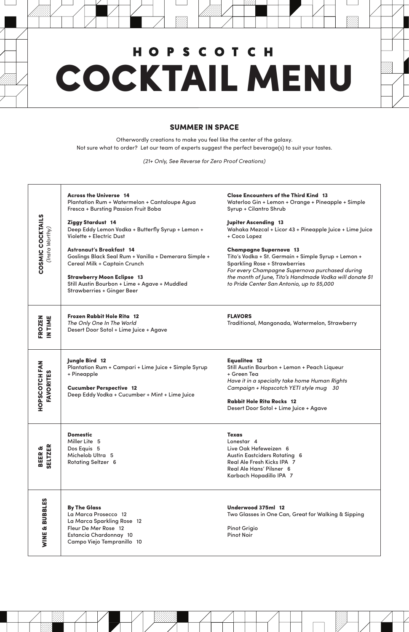### SUMMER IN SPACE

Otherwordly creations to make you feel like the center of the galaxy. Not sure what to order? Let our team of experts suggest the perfect beverage(s) to suit your tastes.

*(21+ Only, See Reverse for Zero Proof Creations)*

|                                     | <b>Across the Universe 14</b><br>Plantation Rum + Watermelon + Cantaloupe Agua<br>Fresca + Bursting Passion Fruit Boba                                                                                                                                     | <b>Close Encounters of the Third Kind 13</b><br>Waterloo Gin + Lemon + Orange + Pineapple + Simple<br>Syrup + Cilantro Shrub                                                                                                                                                             |
|-------------------------------------|------------------------------------------------------------------------------------------------------------------------------------------------------------------------------------------------------------------------------------------------------------|------------------------------------------------------------------------------------------------------------------------------------------------------------------------------------------------------------------------------------------------------------------------------------------|
| COSMIC COCKTAILS<br>(Insta Worthy)  | Ziggy Stardust 14<br>Deep Eddy Lemon Vodka + Butterfly Syrup + Lemon +<br>Violette + Electric Dust                                                                                                                                                         | <b>Jupiter Ascending 13</b><br>Wahaka Mezcal + Licor 43 + Pineapple Juice + Lime Juice<br>+ Coco Lopez                                                                                                                                                                                   |
|                                     | <b>Astronaut's Breakfast 14</b><br>Goslings Black Seal Rum + Vanilla + Demerara Simple +<br><b>Cereal Milk + Captain Crunch</b><br><b>Strawberry Moon Eclipse 13</b><br>Still Austin Bourbon + Lime + Agave + Muddled<br><b>Strawberries + Ginger Beer</b> | <b>Champagne Supernova 13</b><br>Tito's Vodka + St. Germain + Simple Syrup + Lemon +<br><b>Sparkling Rose + Strawberries</b><br>For every Champagne Supernova purchased during<br>the month of June, Tito's Handmade Vodka will donate \$1<br>to Pride Center San Antonio, up to \$5,000 |
| FROZEN<br>IN TIME                   | Frozen Rabbit Hole Rita 12<br>The Only One In The World<br>Desert Door Sotol + Lime Juice + Agave                                                                                                                                                          | <b>FLAVORS</b><br>Traditional, Mangonada, Watermelon, Strawberry                                                                                                                                                                                                                         |
| HOPSCOTCH FAN<br><b>FAVORITES</b>   | Jungle Bird 12<br>Plantation Rum + Campari + Lime Juice + Simple Syrup<br>+ Pineapple<br><b>Cucumber Perspective 12</b><br>Deep Eddy Vodka + Cucumber + Mint + Lime Juice                                                                                  | <b>Equalitea 12</b><br>Still Austin Bourbon + Lemon + Peach Liqueur<br>+ Green Tea<br>Have it in a specialty take home Human Rights<br>Campaign + Hopscotch YETI style mug 30<br><b>Rabbit Hole Rita Rocks 12</b><br>Desert Door Sotol + Lime Juice + Agave                              |
| <b>SELTZER</b><br>Œ,<br><b>BEER</b> | <b>Domestic</b><br>Miller Lite 5<br>Dos Equis 5<br>Michelob Ultra 5<br><b>Rotating Seltzer 6</b>                                                                                                                                                           | <b>Texas</b><br>Lonestar 4<br>Live Oak Hefeweizen 6<br><b>Austin Eastciders Rotating 6</b><br>Real Ale Fresh Kicks IPA 7<br>Deal Ale Hans' Dilance C                                                                                                                                     |

# **HOPSCOTCH** COCKTAIL MENU

| മ ഗ്ഗ                               | <b>NOTATING OCHECT O</b>                                                                                                                                  | $11.9$ The state in the state in the state $1$<br>Real Ale Hans' Pilsner 6<br>Karbach Hopadillo IPA 7                 |
|-------------------------------------|-----------------------------------------------------------------------------------------------------------------------------------------------------------|-----------------------------------------------------------------------------------------------------------------------|
| ပ္မ<br>BBI<br>긂<br><b>d</b><br>VINE | <b>By The Glass</b><br>La Marca Prosecco 12<br>La Marca Sparkling Rose 12<br>Fleur De Mer Rose 12<br>Estancia Chardonnay 10<br>Campo Viejo Tempranillo 10 | Underwood 375ml 12<br>Two Glasses in One Can, Great for Walking & Sipping<br><b>Pinot Grigio</b><br><b>Pinot Noir</b> |